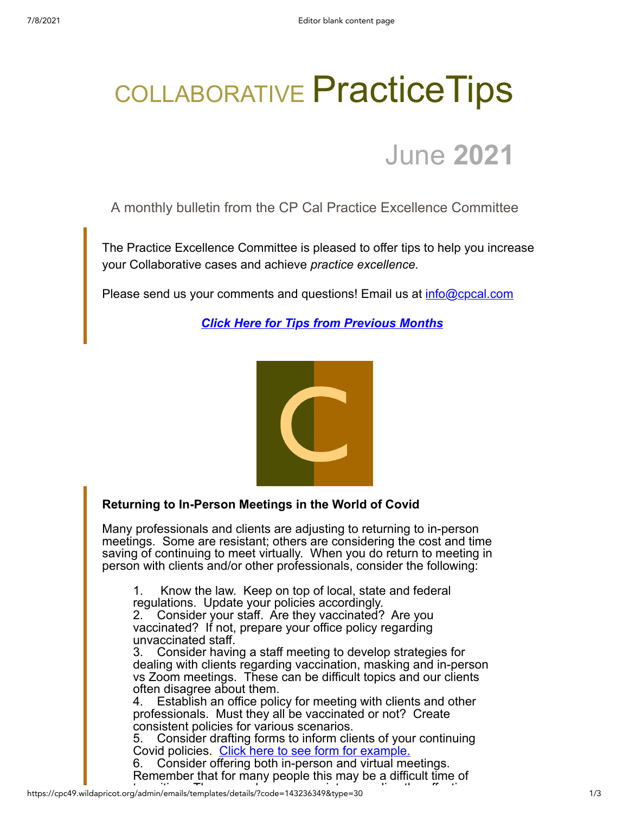# COLLABORATIVE Practice Tips

# June **2021**

A monthly bulletin from the CP Cal Practice Excellence Committee

The Practice Excellence Committee is pleased to offer tips to help you increase your Collaborative cases and achieve *practice excellence.*

Please send us your comments and questions! Email us at **info@cpcal.com** 

*[Click Here for Tips from Previous Months](https://www.cpcal.com/resources/practice-tips-newsletter/)*



## **Returning to In-Person Meetings in the World of Covid**

Many professionals and clients are adjusting to returning to in-person meetings. Some are resistant; others are considering the cost and time saving of continuing to meet virtually. When you do return to meeting in person with clients and/or other professionals, consider the following:

1. Know the law. Keep on top of local, state and federal regulations. Update your policies accordingly.

2. Consider your staff. Are they vaccinated? Are you vaccinated? If not, prepare your office policy regarding unvaccinated staff.

3. Consider having a staff meeting to develop strategies for dealing with clients regarding vaccination, masking and in-person vs Zoom meetings. These can be difficult topics and our clients often disagree about them.

4. Establish an office policy for meeting with clients and other professionals. Must they all be vaccinated or not? Create consistent policies for various scenarios.

5. Consider drafting forms to inform clients of your continuing Covid policies. [Click here to see form for example.](https://cpc49.wildapricot.org/resources/Covid%20Form%2006-02-21.pdf)

6. Consider offering both in-person and virtual meetings. Remember that for many people this may be a difficult time of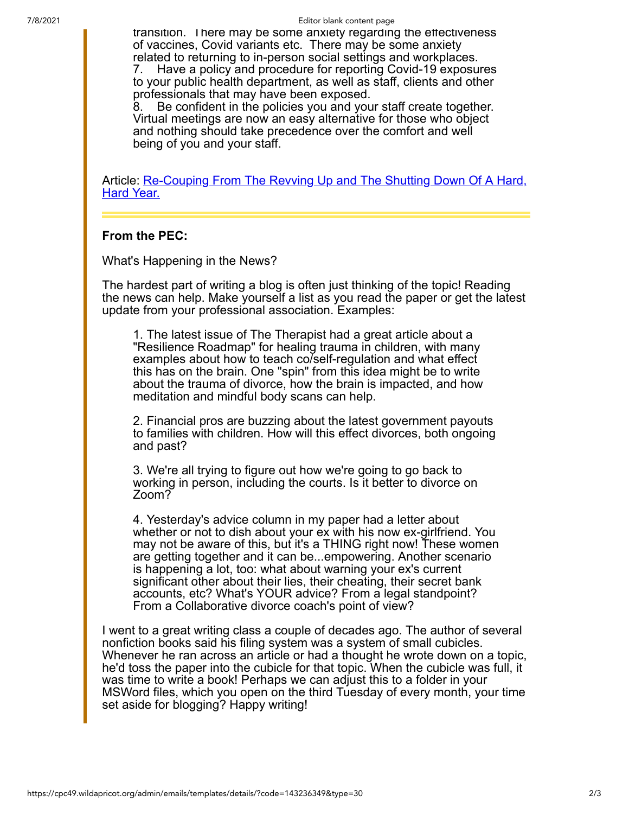transition. There may be some anxiety regarding the effectiveness of vaccines, Covid variants etc. There may be some anxiety related to returning to in-person social settings and workplaces.

7. Have a policy and procedure for reporting Covid-19 exposures to your public health department, as well as staff, clients and other professionals that may have been exposed.

8. Be confident in the policies you and your staff create together. Virtual meetings are now an easy alternative for those who object and nothing should take precedence over the comfort and well being of you and your staff.

[Article: Re-Couping From The Revving Up and The Shutting Down Of A Hard,](https://lindagraham-mft.net/re-couping-from-the-revving-up-and-the-shutting-down-of-a-hard-hard-year/?utm_source=ActiveCampaign&utm_medium=email&utm_content=Re-couping%2Bfrom%2Bthe%2BRevving%2BUp%2Band%2Bthe%2BShutting%2BDown%2Bof%2Ba%2BHard%2C%2BHard%2BYear&utm_campaign=RRR%2B-%2BJune%2B17%2C%2B2021) **Hard Year.** 

#### **From the PEC:**

What's Happening in the News?

The hardest part of writing a blog is often just thinking of the topic! Reading the news can help. Make yourself a list as you read the paper or get the latest update from your professional association. Examples:

1. The latest issue of The Therapist had a great article about a "Resilience Roadmap" for healing trauma in children, with many examples about how to teach co/self-regulation and what effect this has on the brain. One "spin" from this idea might be to write about the trauma of divorce, how the brain is impacted, and how meditation and mindful body scans can help.

2. Financial pros are buzzing about the latest government payouts to families with children. How will this effect divorces, both ongoing and past?

3. We're all trying to figure out how we're going to go back to working in person, including the courts. Is it better to divorce on Zoom?

4. Yesterday's advice column in my paper had a letter about whether or not to dish about your ex with his now ex-girlfriend. You may not be aware of this, but it's a THING right now! These women are getting together and it can be...empowering. Another scenario is happening a lot, too: what about warning your ex's current significant other about their lies, their cheating, their secret bank accounts, etc? What's YOUR advice? From a legal standpoint? From a Collaborative divorce coach's point of view?

I went to a great writing class a couple of decades ago. The author of several nonfiction books said his filing system was a system of small cubicles. Whenever he ran across an article or had a thought he wrote down on a topic, he'd toss the paper into the cubicle for that topic. When the cubicle was full, it was time to write a book! Perhaps we can adjust this to a folder in your MSWord files, which you open on the third Tuesday of every month, your time set aside for blogging? Happy writing!